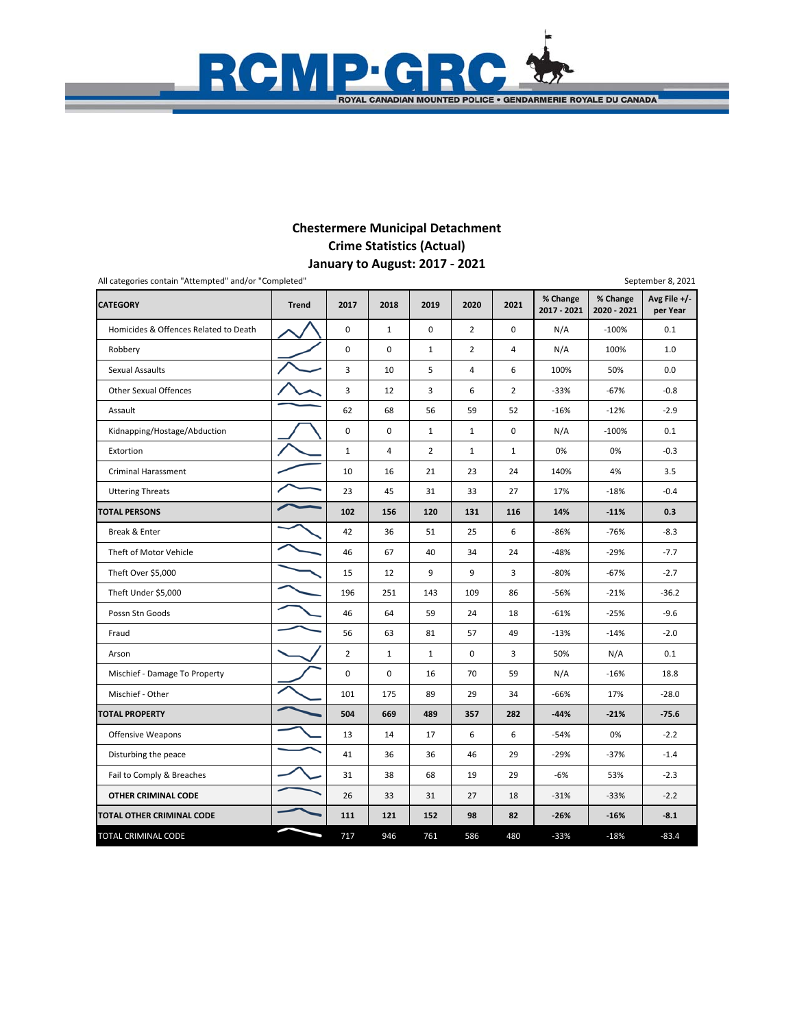## **January to August: 2017 ‐ 2021 Chestermere Municipal Detachment Crime Statistics (Actual)**

 $\blacksquare$ 

**ROYAL CANADIAN MOUNTED POLICE . GENDARMERIE ROYALE DU CANADA** 

C

RGMP.

| All categories contain "Attempted" and/or "Completed" |              |                |                |                |                |                |                         |                         | September 8, 2021          |
|-------------------------------------------------------|--------------|----------------|----------------|----------------|----------------|----------------|-------------------------|-------------------------|----------------------------|
| <b>CATEGORY</b>                                       | <b>Trend</b> | 2017           | 2018           | 2019           | 2020           | 2021           | % Change<br>2017 - 2021 | % Change<br>2020 - 2021 | Avg File $+/-$<br>per Year |
| Homicides & Offences Related to Death                 |              | 0              | $\mathbf{1}$   | 0              | $\overline{2}$ | $\Omega$       | N/A                     | $-100%$                 | 0.1                        |
| Robbery                                               |              | 0              | 0              | $\mathbf{1}$   | $\overline{2}$ | 4              | N/A                     | 100%                    | 1.0                        |
| <b>Sexual Assaults</b>                                |              | 3              | 10             | 5              | 4              | 6              | 100%                    | 50%                     | 0.0                        |
| <b>Other Sexual Offences</b>                          |              | 3              | 12             | 3              | 6              | $\overline{2}$ | $-33%$                  | $-67%$                  | $-0.8$                     |
| Assault                                               |              | 62             | 68             | 56             | 59             | 52             | $-16%$                  | $-12%$                  | $-2.9$                     |
| Kidnapping/Hostage/Abduction                          |              | 0              | 0              | $\mathbf{1}$   | $\mathbf{1}$   | 0              | N/A                     | $-100%$                 | 0.1                        |
| Extortion                                             |              | $\mathbf 1$    | $\overline{4}$ | $\overline{2}$ | $\mathbf{1}$   | $\mathbf{1}$   | 0%                      | 0%                      | $-0.3$                     |
| <b>Criminal Harassment</b>                            |              | 10             | 16             | 21             | 23             | 24             | 140%                    | 4%                      | 3.5                        |
| <b>Uttering Threats</b>                               |              | 23             | 45             | 31             | 33             | 27             | 17%                     | $-18%$                  | $-0.4$                     |
| <b>TOTAL PERSONS</b>                                  |              | 102            | 156            | 120            | 131            | 116            | 14%                     | $-11%$                  | 0.3                        |
| Break & Enter                                         |              | 42             | 36             | 51             | 25             | 6              | $-86%$                  | $-76%$                  | $-8.3$                     |
| Theft of Motor Vehicle                                |              | 46             | 67             | 40             | 34             | 24             | $-48%$                  | $-29%$                  | $-7.7$                     |
| Theft Over \$5,000                                    |              | 15             | 12             | 9              | 9              | 3              | $-80%$                  | $-67%$                  | $-2.7$                     |
| Theft Under \$5,000                                   |              | 196            | 251            | 143            | 109            | 86             | $-56%$                  | $-21%$                  | $-36.2$                    |
| Possn Stn Goods                                       |              | 46             | 64             | 59             | 24             | 18             | $-61%$                  | $-25%$                  | $-9.6$                     |
| Fraud                                                 |              | 56             | 63             | 81             | 57             | 49             | $-13%$                  | $-14%$                  | $-2.0$                     |
| Arson                                                 |              | $\overline{2}$ | $\mathbf{1}$   | $\mathbf{1}$   | 0              | 3              | 50%                     | N/A                     | 0.1                        |
| Mischief - Damage To Property                         |              | 0              | $\mathbf 0$    | 16             | 70             | 59             | N/A                     | $-16%$                  | 18.8                       |
| Mischief - Other                                      |              | 101            | 175            | 89             | 29             | 34             | $-66%$                  | 17%                     | $-28.0$                    |
| <b>TOTAL PROPERTY</b>                                 |              | 504            | 669            | 489            | 357            | 282            | $-44%$                  | $-21%$                  | $-75.6$                    |
| <b>Offensive Weapons</b>                              |              | 13             | 14             | 17             | 6              | 6              | $-54%$                  | 0%                      | $-2.2$                     |
| Disturbing the peace                                  |              | 41             | 36             | 36             | 46             | 29             | $-29%$                  | $-37%$                  | $-1.4$                     |
| Fail to Comply & Breaches                             |              | 31             | 38             | 68             | 19             | 29             | -6%                     | 53%                     | $-2.3$                     |
| OTHER CRIMINAL CODE                                   |              | 26             | 33             | 31             | 27             | 18             | $-31%$                  | $-33%$                  | $-2.2$                     |
| TOTAL OTHER CRIMINAL CODE                             |              | 111            | 121            | 152            | 98             | 82             | $-26%$                  | $-16%$                  | $-8.1$                     |
| TOTAL CRIMINAL CODE                                   |              | 717            | 946            | 761            | 586            | 480            | $-33%$                  | $-18%$                  | $-83.4$                    |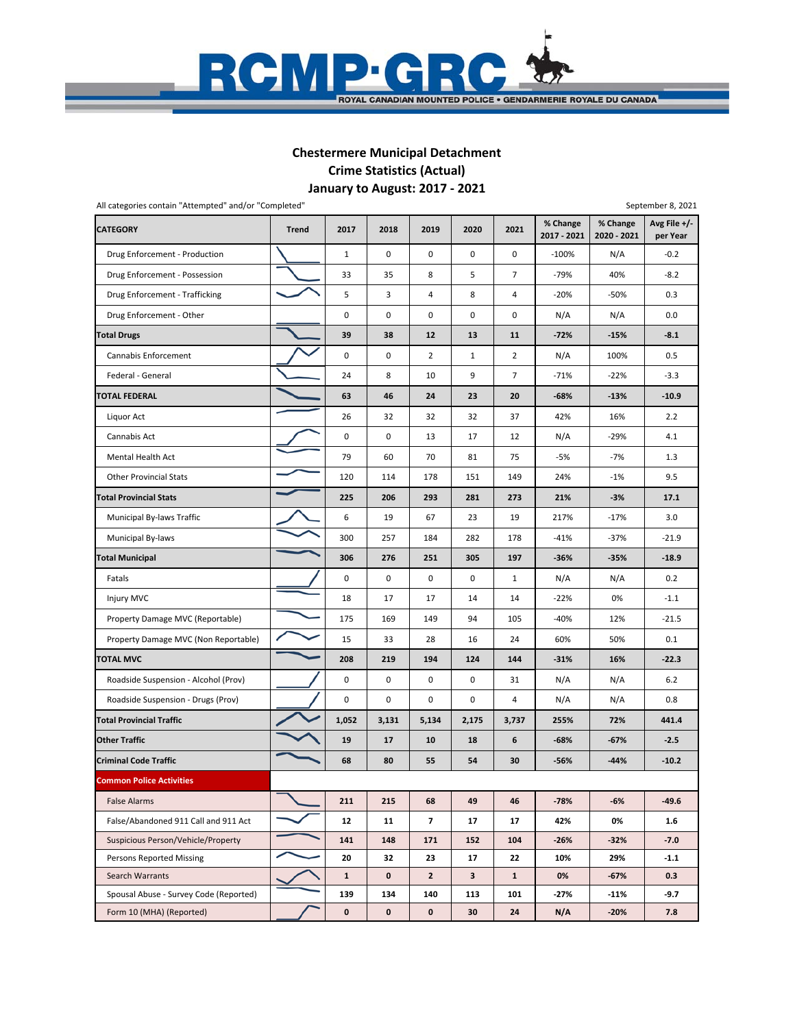

### **January to August: 2017 ‐ 2021 Chestermere Municipal Detachment Crime Statistics (Actual)**

**CATEGORY Trend 2017 2018 2019 2020 2021 % Change 2017 ‐ 2021 % Change 2020 ‐ 2021 Avg File +/‐ per Year** Drug Enforcement ‐ Production 10000 ‐100% N/A ‐0.2 Drug Enforcement - Possession 40% (33 35 8 5 7 7 -79% 40% 1 -8.2 Drug Enforcement - Trafficking **1990 • 1991 • 1991 • 1991 • 1991 • 1991 • 1991 • 1991 • 1991 • 1991 • 1991 • 1** Drug Enforcement - Other **Drug Enforcement - Other Property** Out O 0 0 0 0 0 0 0 0 N/A N/A 0.0 **Total Drugs 39 38 12 13 11 ‐72% ‐15% ‐8.1** Cannabis Enforcement 0 0 2 1 2 N/A 100% 0.5 Federal ‐ General 24 8 10 9 7 ‐71% ‐22% ‐3.3 **TOTAL FEDERAL 63 46 24 23 20 ‐68% ‐13% ‐10.9** Liquor Act 26 32 32 32 37 42% 16% 2.2 Cannabis Act 0 0 13 17 12 N/A ‐29% 4.1 Mental Health Act 79 60 70 81 75 ‐5% ‐7% 1.3 Other Provincial Stats 120 120 114 178 151 149 24% 121% 9.5 **Total Provincial Stats 225 206 293 281 273 21% ‐3% 17.1** Municipal By-laws Traffic **6 23** 19 19 19 19 19 19 19 19 217% <sup>1</sup> 17% 3.0 Municipal By‐laws 21.9 **Total Municipal 306 276 251 305 197 ‐36% ‐35% ‐18.9** Fatals 0 0 0 0 1 N/A N/A 0.2 Injury MVC 18 17 17 14 14 −22% 0% −1.1 Property Damage MVC (Reportable) **175 169 149 94 105 -40% 12% 12% 125** -21.5 Property Damage MVC (Non Reportable) **15** 15 33 28 16 24 60% 50% 0.1 **TOTAL MVC 208 219 194 124 144 ‐31% 16% ‐22.3** Roadside Suspension - Alcohol (Prov)  $\begin{vmatrix} 1 & 0 & 0 & 0 \\ 0 & 0 & 0 & 31 \end{vmatrix}$  N/A  $\begin{vmatrix} 0 & 4 & 0 \\ 0 & 31 & 0 \end{vmatrix}$  N/A  $\begin{vmatrix} 0 & 0 & 0 \\ 0 & 0 & 0 \end{vmatrix}$  5.2 Roadside Suspension - Drugs (Prov) | / 0 0 0 0 0 0 4 N/A N/A 0.8 **Total Provincial Traffic 1,052 3,131 5,134 2,175 3,737 255% 72% 441.4** Other Traffic **19 19 17 10 18 6 1 -68% 1 -67% <sup>1</sup> -2.**5 Criminal Code Traffic **68 1 68 1 54 1 54 1 - 10.2 criminal Code Traffic** 68 1 68 1 68 1 55 1 54 1 30 1 - 56% 1 - 44% 1 - 10.2 **Common Police Activities** False Alarms **211 1 211 1 215 1 215 1 216 1 216 1 216 1 216 1 216 1 216 1 216 1 216 1 216 1 216 1 216 1 216 1 2** False/Abandoned 911 Call and 911 Act **12 12 12 11 7 17 17 17 42% 0% 1.6** Suspicious Person/Vehicle/Property **141 148 171 152 104 -26% -32% -7.0** Persons Reported Missing **20 32 23 17 22 10% 29% 1.1**  Search Warrants **1 0 2 3 1 0% ‐67% 0.3** Spousal Abuse - Survey Code (Reported) **139 | 134 | 140 | 113 | 101 | -27% | -11% | -9.7**  Form 10 (MHA) (Reported) **0 0 0 30 24 N/A ‐20% 7.8** All categories contain "Attempted" and/or "Completed" September 8, 2021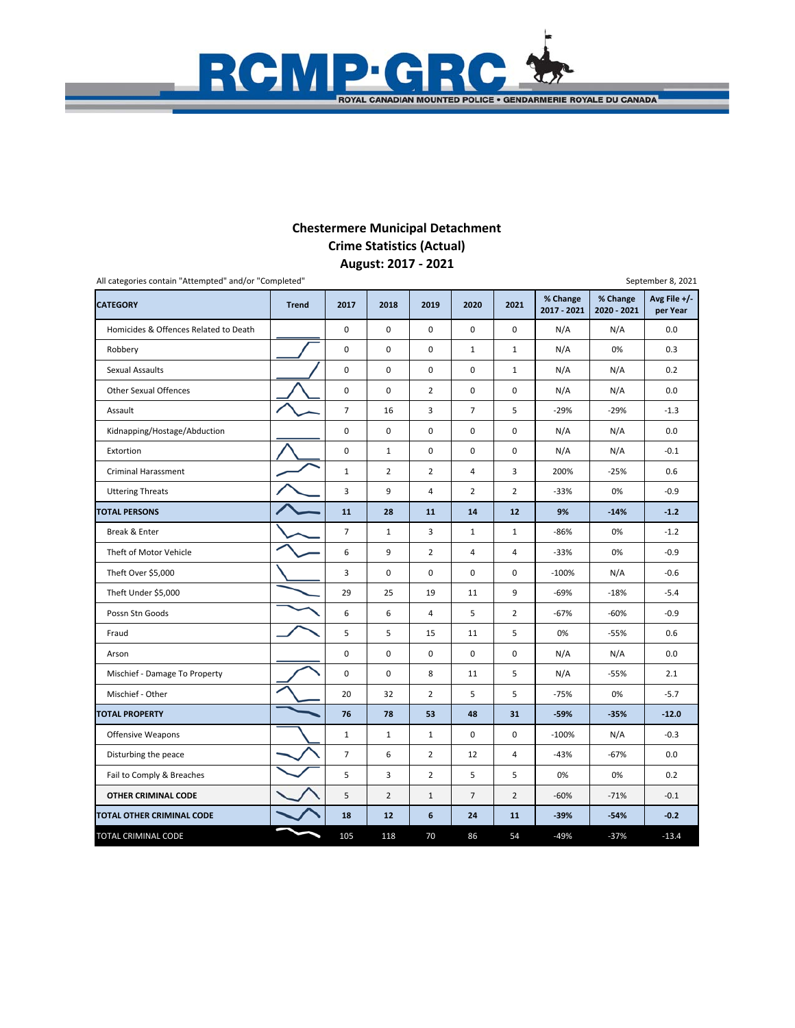## **August: 2017 ‐ 2021 Chestermere Municipal Detachment Crime Statistics (Actual)**

 $\overline{\phantom{a}}$ t

ROYAL CANADIAN MOUNTED POLICE . GENDARMERIE ROYALE DU CANADA

**RCMP** 

| All categories contain "Attempted" and/or "Completed" |              |                |                |                  |                |                |                         |                         | September 8, 2021          |
|-------------------------------------------------------|--------------|----------------|----------------|------------------|----------------|----------------|-------------------------|-------------------------|----------------------------|
| <b>CATEGORY</b>                                       | <b>Trend</b> | 2017           | 2018           | 2019             | 2020           | 2021           | % Change<br>2017 - 2021 | % Change<br>2020 - 2021 | Avg File $+/-$<br>per Year |
| Homicides & Offences Related to Death                 |              | 0              | $\mathbf 0$    | $\mathbf 0$      | $\mathbf 0$    | $\Omega$       | N/A                     | N/A                     | 0.0                        |
| Robbery                                               |              | 0              | 0              | 0                | $\mathbf{1}$   | $\mathbf{1}$   | N/A                     | 0%                      | 0.3                        |
| <b>Sexual Assaults</b>                                |              | 0              | $\mathbf 0$    | $\mathsf 0$      | $\mathbf 0$    | $\mathbf{1}$   | N/A                     | N/A                     | 0.2                        |
| <b>Other Sexual Offences</b>                          |              | 0              | $\mathbf 0$    | $\overline{2}$   | $\mathbf 0$    | 0              | N/A                     | N/A                     | 0.0                        |
| Assault                                               |              | $\overline{7}$ | 16             | 3                | $\overline{7}$ | 5              | $-29%$                  | $-29%$                  | $-1.3$                     |
| Kidnapping/Hostage/Abduction                          |              | 0              | $\mathbf 0$    | $\pmb{0}$        | 0              | 0              | N/A                     | N/A                     | 0.0                        |
| Extortion                                             |              | 0              | $\mathbf{1}$   | $\pmb{0}$        | $\pmb{0}$      | 0              | N/A                     | N/A                     | $-0.1$                     |
| <b>Criminal Harassment</b>                            |              | $\mathbf{1}$   | $\overline{2}$ | $\overline{2}$   | 4              | 3              | 200%                    | $-25%$                  | 0.6                        |
| <b>Uttering Threats</b>                               |              | 3              | 9              | $\overline{4}$   | $\overline{2}$ | 2              | $-33%$                  | 0%                      | $-0.9$                     |
| <b>TOTAL PERSONS</b>                                  |              | 11             | 28             | 11               | 14             | 12             | 9%                      | $-14%$                  | $-1.2$                     |
| Break & Enter                                         |              | $\overline{7}$ | $\mathbf{1}$   | 3                | $\mathbf 1$    | $\mathbf{1}$   | $-86%$                  | 0%                      | $-1.2$                     |
| Theft of Motor Vehicle                                |              | 6              | 9              | $\overline{2}$   | 4              | 4              | $-33%$                  | 0%                      | $-0.9$                     |
| Theft Over \$5,000                                    |              | 3              | $\mathsf 0$    | $\mathbf 0$      | $\mathbf 0$    | $\mathbf 0$    | $-100%$                 | N/A                     | $-0.6$                     |
| Theft Under \$5,000                                   |              | 29             | 25             | 19               | 11             | 9              | $-69%$                  | $-18%$                  | $-5.4$                     |
| Possn Stn Goods                                       |              | 6              | 6              | $\overline{4}$   | 5              | $\overline{2}$ | $-67%$                  | $-60%$                  | $-0.9$                     |
| Fraud                                                 |              | 5              | 5              | 15               | 11             | 5              | 0%                      | $-55%$                  | 0.6                        |
| Arson                                                 |              | 0              | 0              | $\mathsf 0$      | 0              | 0              | N/A                     | N/A                     | 0.0                        |
| Mischief - Damage To Property                         |              | 0              | $\pmb{0}$      | 8                | 11             | 5              | N/A                     | $-55%$                  | 2.1                        |
| Mischief - Other                                      |              | 20             | 32             | $\overline{2}$   | 5              | 5              | $-75%$                  | 0%                      | $-5.7$                     |
| <b>TOTAL PROPERTY</b>                                 |              | 76             | 78             | 53               | 48             | 31             | $-59%$                  | $-35%$                  | $-12.0$                    |
| Offensive Weapons                                     |              | $\mathbf{1}$   | $\mathbf{1}$   | $\mathbf{1}$     | $\pmb{0}$      | 0              | $-100%$                 | N/A                     | $-0.3$                     |
| Disturbing the peace                                  |              | $\overline{7}$ | 6              | $\overline{2}$   | 12             | 4              | $-43%$                  | $-67%$                  | 0.0                        |
| Fail to Comply & Breaches                             |              | 5              | 3              | $\overline{2}$   | 5              | 5              | 0%                      | 0%                      | 0.2                        |
| OTHER CRIMINAL CODE                                   |              | 5              | $\overline{2}$ | $1\,$            | $\overline{7}$ | $\overline{2}$ | $-60%$                  | $-71%$                  | $-0.1$                     |
| TOTAL OTHER CRIMINAL CODE                             |              | 18             | 12             | $\boldsymbol{6}$ | 24             | 11             | $-39%$                  | $-54%$                  | $-0.2$                     |
| TOTAL CRIMINAL CODE                                   |              | 105            | 118            | 70               | 86             | 54             | $-49%$                  | $-37%$                  | $-13.4$                    |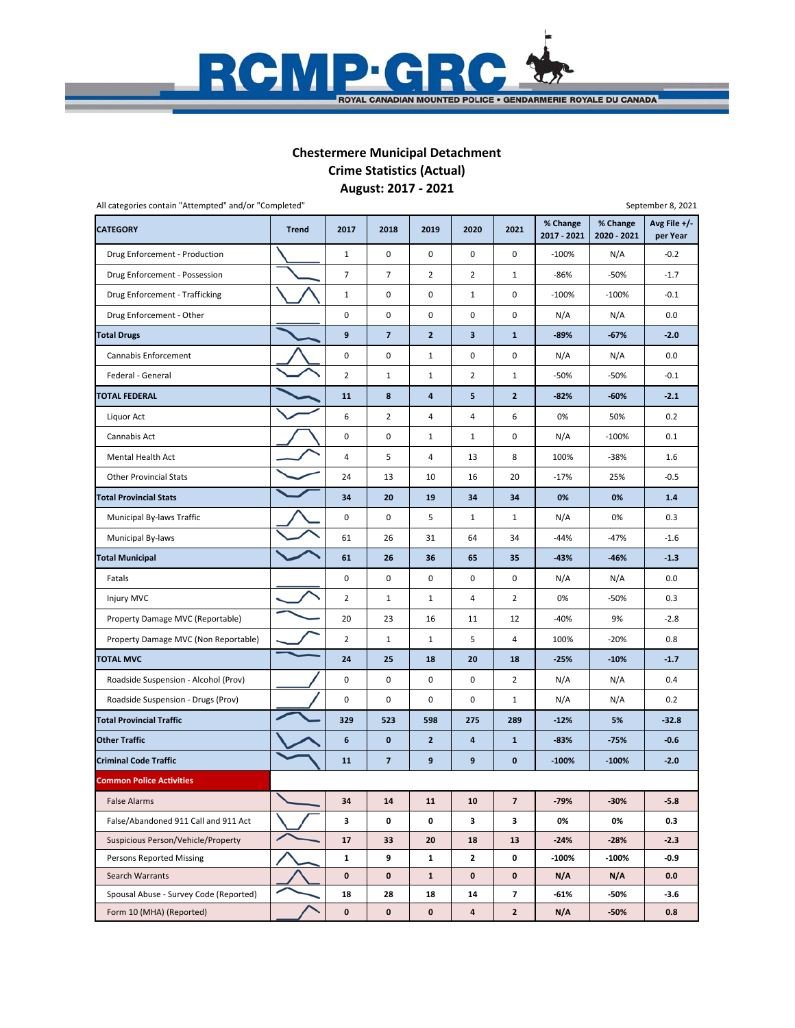

# **Chestermere Municipal Detachment Crime Statistics (Actual)**

**August: 2017 ‐ 2021**

| All categories contain "Attempted" and/or "Completed" |              |                |                         |                         |                |                         |                         |                         | September 8, 2021        |
|-------------------------------------------------------|--------------|----------------|-------------------------|-------------------------|----------------|-------------------------|-------------------------|-------------------------|--------------------------|
| <b>CATEGORY</b>                                       | <b>Trend</b> | 2017           | 2018                    | 2019                    | 2020           | 2021                    | % Change<br>2017 - 2021 | % Change<br>2020 - 2021 | Avg File +/-<br>per Year |
| Drug Enforcement - Production                         |              | $\mathbf{1}$   | 0                       | $\pmb{0}$               | $\pmb{0}$      | 0                       | $-100%$                 | N/A                     | $-0.2$                   |
| Drug Enforcement - Possession                         |              | 7              | 7                       | $\overline{2}$          | $\overline{2}$ | $\mathbf{1}$            | -86%                    | $-50%$                  | $-1.7$                   |
| Drug Enforcement - Trafficking                        |              | $\mathbf 1$    | 0                       | $\mathsf 0$             | $\mathbf{1}$   | 0                       | $-100%$                 | $-100%$                 | $-0.1$                   |
| Drug Enforcement - Other                              |              | 0              | 0                       | $\mathbf 0$             | 0              | 0                       | N/A                     | N/A                     | 0.0                      |
| <b>Total Drugs</b>                                    |              | 9              | 7                       | $\mathbf{2}$            | 3              | $\mathbf{1}$            | $-89%$                  | $-67%$                  | $-2.0$                   |
| Cannabis Enforcement                                  |              | 0              | 0                       | $\mathbf 1$             | 0              | 0                       | N/A                     | N/A                     | 0.0                      |
| Federal - General                                     |              | $\overline{2}$ | 1                       | 1                       | $\overline{2}$ | $\mathbf{1}$            | -50%                    | -50%                    | $-0.1$                   |
| TOTAL FEDERAL                                         |              | 11             | 8                       | $\overline{\mathbf{4}}$ | 5              | $\mathbf{2}$            | $-82%$                  | $-60%$                  | $-2.1$                   |
| Liquor Act                                            |              | 6              | $\overline{2}$          | 4                       | $\sqrt{4}$     | 6                       | 0%                      | 50%                     | 0.2                      |
| Cannabis Act                                          |              | 0              | 0                       | $\mathbf{1}$            | $\mathbf{1}$   | 0                       | N/A                     | $-100%$                 | 0.1                      |
| Mental Health Act                                     |              | 4              | 5                       | 4                       | 13             | 8                       | 100%                    | $-38%$                  | 1.6                      |
| <b>Other Provincial Stats</b>                         |              | 24             | 13                      | 10                      | 16             | 20                      | $-17%$                  | 25%                     | $-0.5$                   |
| <b>Total Provincial Stats</b>                         |              | 34             | 20                      | 19                      | 34             | 34                      | 0%                      | 0%                      | $1.4$                    |
| Municipal By-laws Traffic                             |              | 0              | 0                       | 5                       | $\mathbf{1}$   | $\mathbf{1}$            | N/A                     | 0%                      | 0.3                      |
| Municipal By-laws                                     |              | 61             | 26                      | 31                      | 64             | 34                      | -44%                    | $-47%$                  | $-1.6$                   |
| <b>Total Municipal</b>                                |              | 61             | 26                      | 36                      | 65             | 35                      | $-43%$                  | $-46%$                  | $-1.3$                   |
| Fatals                                                |              | 0              | 0                       | $\pmb{0}$               | 0              | 0                       | N/A                     | N/A                     | 0.0                      |
| <b>Injury MVC</b>                                     |              | $\overline{2}$ | $\mathbf{1}$            | $\mathbf{1}$            | $\overline{4}$ | $\overline{2}$          | 0%                      | $-50%$                  | 0.3                      |
| Property Damage MVC (Reportable)                      |              | 20             | 23                      | 16                      | 11             | 12                      | -40%                    | 9%                      | $-2.8$                   |
| Property Damage MVC (Non Reportable)                  |              | $\overline{2}$ | 1                       | 1                       | 5              | 4                       | 100%                    | $-20%$                  | 0.8                      |
| <b>TOTAL MVC</b>                                      |              | 24             | 25                      | 18                      | 20             | 18                      | $-25%$                  | $-10%$                  | $-1.7$                   |
| Roadside Suspension - Alcohol (Prov)                  |              | 0              | 0                       | $\pmb{0}$               | 0              | $\overline{2}$          | N/A                     | N/A                     | 0.4                      |
| Roadside Suspension - Drugs (Prov)                    |              | 0              | 0                       | $\mathbf 0$             | 0              | $\mathbf{1}$            | N/A                     | N/A                     | 0.2                      |
| <b>Total Provincial Traffic</b>                       |              | 329            | 523                     | 598                     | 275            | 289                     | $-12%$                  | 5%                      | $-32.8$                  |
| <b>Other Traffic</b>                                  |              | 6              | 0                       | $\overline{2}$          | 4              | $\mathbf{1}$            | $-83%$                  | $-75%$                  | $-0.6$                   |
| <b>Criminal Code Traffic</b>                          |              | 11             | $\overline{\mathbf{z}}$ | 9                       | 9              | $\bf{0}$                | $-100%$                 | $-100%$                 | $-2.0$                   |
| <b>Common Police Activities</b>                       |              |                |                         |                         |                |                         |                         |                         |                          |
| <b>False Alarms</b>                                   |              | 34             | 14                      | 11                      | 10             | $\overline{\mathbf{z}}$ | $-79%$                  | $-30%$                  | $-5.8$                   |
| False/Abandoned 911 Call and 911 Act                  |              | 3              | 0                       | 0                       | 3              | 3                       | 0%                      | 0%                      | 0.3                      |
| Suspicious Person/Vehicle/Property                    |              | 17             | 33                      | 20                      | 18             | 13                      | $-24%$                  | $-28%$                  | $-2.3$                   |
| Persons Reported Missing                              |              | 1              | 9                       | 1                       | $\mathbf{z}$   | 0                       | $-100%$                 | $-100%$                 | $-0.9$                   |
| Search Warrants                                       |              | $\mathbf 0$    | $\pmb{0}$               | $\mathbf{1}$            | $\mathbf 0$    | $\mathbf 0$             | N/A                     | N/A                     | 0.0                      |
| Spousal Abuse - Survey Code (Reported)                |              | 18             | 28                      | 18                      | 14             | 7                       | $-61%$                  | -50%                    | -3.6                     |
| Form 10 (MHA) (Reported)                              |              | 0              | 0                       | $\mathbf 0$             | 4              | $\mathbf{2}$            | N/A                     | $-50%$                  | 0.8                      |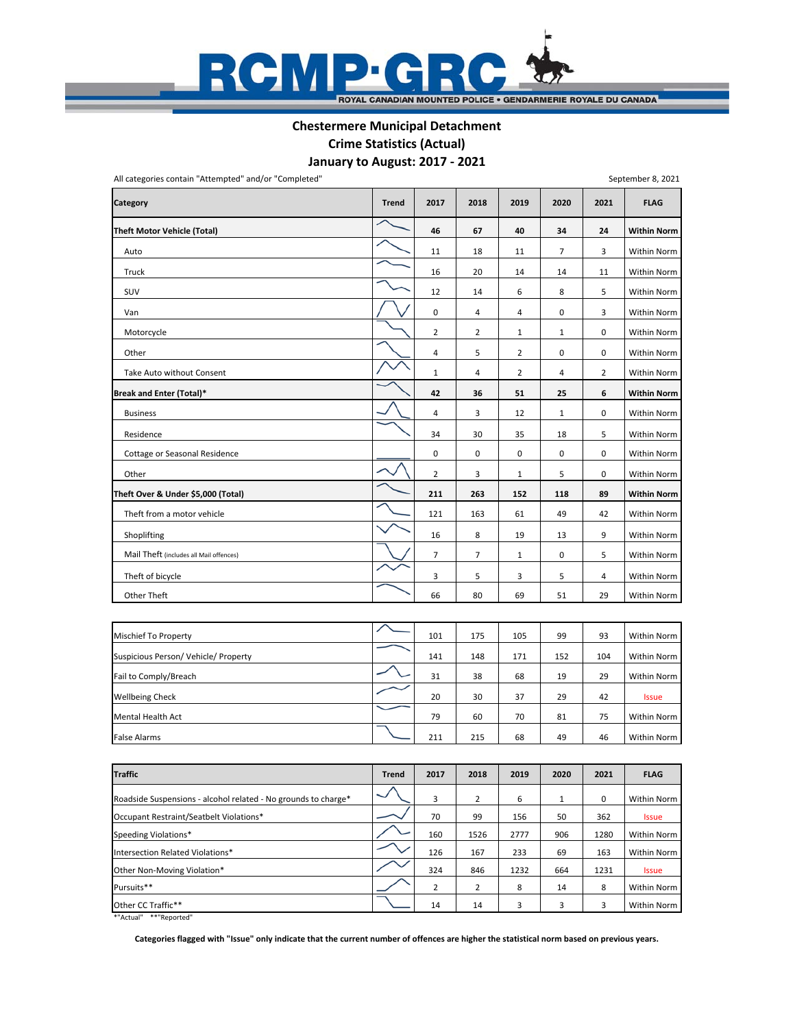

# **Chestermere Municipal Detachment Crime Statistics (Actual)**

**January to August: 2017 ‐ 2021**

|  | September 8, 2021 |
|--|-------------------|

| All categories contain "Attempted" and/or "Completed" |              |                |                |                |              |                | September 8, 2021  |
|-------------------------------------------------------|--------------|----------------|----------------|----------------|--------------|----------------|--------------------|
| <b>Category</b>                                       | <b>Trend</b> | 2017           | 2018           | 2019           | 2020         | 2021           | <b>FLAG</b>        |
| <b>Theft Motor Vehicle (Total)</b>                    |              | 46             | 67             | 40             | 34           | 24             | <b>Within Norm</b> |
| Auto                                                  |              | 11             | 18             | 11             | 7            | 3              | Within Norm        |
| Truck                                                 |              | 16             | 20             | 14             | 14           | 11             | Within Norm        |
| SUV                                                   |              | 12             | 14             | 6              | 8            | 5              | Within Norm        |
| Van                                                   |              | 0              | 4              | 4              | 0            | 3              | Within Norm        |
| Motorcycle                                            |              | $\mathbf 2$    | $\overline{2}$ | $\mathbf 1$    | $\mathbf 1$  | 0              | Within Norm        |
| Other                                                 | ╱            | 4              | 5              | $\overline{2}$ | 0            | 0              | Within Norm        |
| Take Auto without Consent                             |              | $1\,$          | 4              | $\overline{2}$ | 4            | $\overline{2}$ | Within Norm        |
| Break and Enter (Total)*                              |              | 42             | 36             | 51             | 25           | 6              | <b>Within Norm</b> |
| <b>Business</b>                                       |              | 4              | 3              | 12             | $\mathbf{1}$ | 0              | Within Norm        |
| Residence                                             |              | 34             | 30             | 35             | 18           | 5              | Within Norm        |
| Cottage or Seasonal Residence                         |              | 0              | 0              | $\pmb{0}$      | 0            | 0              | Within Norm        |
| Other                                                 |              | $\overline{2}$ | 3              | $1\,$          | 5            | 0              | Within Norm        |
| Theft Over & Under \$5,000 (Total)                    |              | 211            | 263            | 152            | 118          | 89             | <b>Within Norm</b> |
| Theft from a motor vehicle                            |              | 121            | 163            | 61             | 49           | 42             | Within Norm        |
| Shoplifting                                           |              | 16             | 8              | 19             | 13           | 9              | Within Norm        |
| Mail Theft (includes all Mail offences)               |              | $\overline{7}$ | 7              | $1\,$          | 0            | 5              | Within Norm        |
| Theft of bicycle                                      |              | 3              | 5              | 3              | 5            | 4              | Within Norm        |
| Other Theft                                           |              | 66             | 80             | 69             | 51           | 29             | Within Norm        |
|                                                       |              |                |                |                |              |                |                    |
| Mischief To Property                                  |              | 101            | 175            | 105            | 99           | 93             | Within Norm        |
| Suspicious Person/ Vehicle/ Property                  |              | 141            | 148            | 171            | 152          | 104            | Within Norm        |
| Fail to Comply/Breach                                 |              | 31             | 38             | 68             | 19           | 29             | Within Norm        |
| <b>Wellbeing Check</b>                                |              | 20             | 30             | 37             | 29           | 42             | <b>Issue</b>       |
| Mental Health Act                                     |              | 79             | 60             | 70             | 81           | 75             | Within Norm        |
| <b>False Alarms</b>                                   |              | 211            | 215            | 68             | 49           | 46             | Within Norm        |
|                                                       |              |                |                |                |              |                |                    |
|                                                       |              |                |                |                |              |                |                    |

| <b>Traffic</b>                                                 | <b>Trend</b> | 2017 | 2018 | 2019 | 2020 | 2021 | <b>FLAG</b>  |
|----------------------------------------------------------------|--------------|------|------|------|------|------|--------------|
| Roadside Suspensions - alcohol related - No grounds to charge* |              | 3    | 2    | 6    |      | 0    | Within Norm  |
| Occupant Restraint/Seatbelt Violations*                        |              | 70   | 99   | 156  | 50   | 362  | <b>Issue</b> |
| Speeding Violations*                                           |              | 160  | 1526 | 2777 | 906  | 1280 | Within Norm  |
| Intersection Related Violations*                               |              | 126  | 167  | 233  | 69   | 163  | Within Norm  |
| Other Non-Moving Violation*                                    |              | 324  | 846  | 1232 | 664  | 1231 | <b>Issue</b> |
| Pursuits**                                                     |              | 2    | 2    | 8    | 14   | 8    | Within Norm  |
| Other CC Traffic**                                             |              | 14   | 14   | 3    | 3    | 3    | Within Norm  |
| *"Actual"<br>**"Reported"                                      |              |      |      |      |      |      |              |

**Categories flagged with "Issue" only indicate that the current number of offences are higher the statistical norm based on previous years.**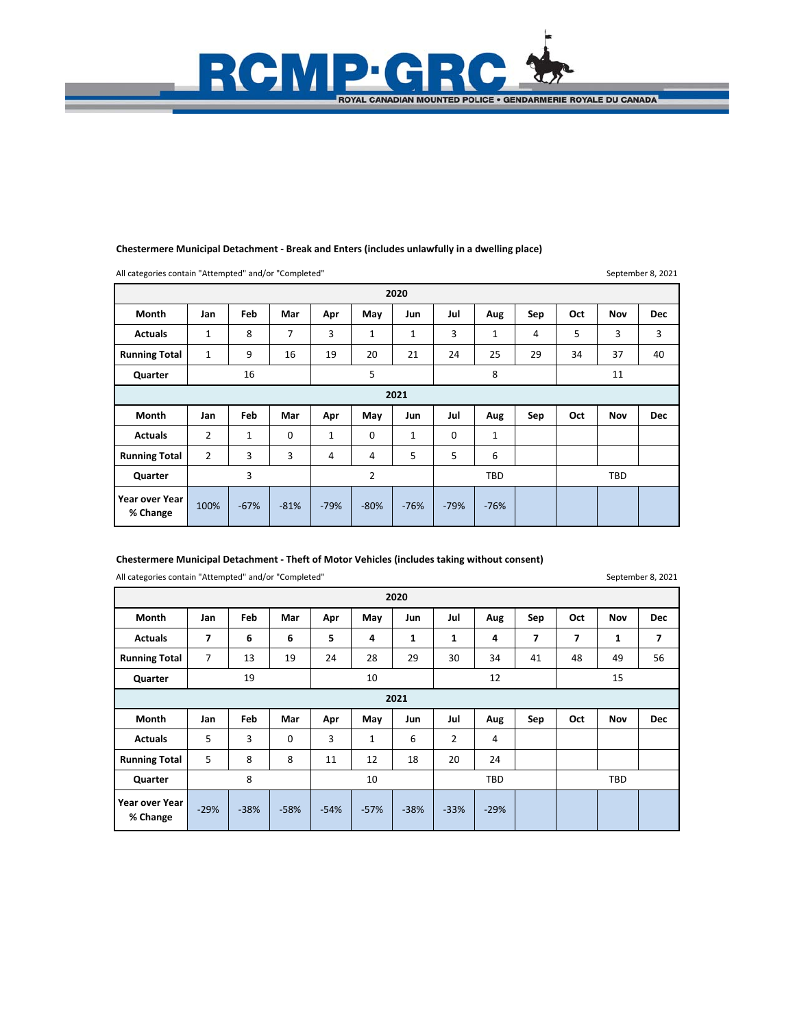### **Chestermere Municipal Detachment ‐ Break and Enters (includes unlawfully in a dwelling place)**

RCMP GRC

**ROYAL CANADIAN MOUNTED POLICE . GENDARMERIE ROYALE DU CANADA** 

All categories contain "Attempted" and/or "Completed"

September 8, 2021

|                      |              |     |                |     |     | 2020 |     |            |     |     |            |            |
|----------------------|--------------|-----|----------------|-----|-----|------|-----|------------|-----|-----|------------|------------|
| Month                | Jan          | Feb | Mar            | Apr | May | Jun  | Jul | Aug        | Sep | Oct | Nov        | <b>Dec</b> |
| <b>Actuals</b>       | $\mathbf{1}$ | 8   | $\overline{7}$ | 3   | 1   | 1    | 3   | 1          | 4   | 5   | 3          | 3          |
| <b>Running Total</b> | 1            | 9   | 16             | 19  | 20  | 21   | 24  | 25         | 29  | 34  | 37         | 40         |
| Quarter              |              | 16  |                |     | 5   |      |     | 8          |     |     | 11         |            |
|                      |              |     |                |     |     | 2021 |     |            |     |     |            |            |
| Month                | Jan          | Feb | Mar            | Apr | May | Jun  | Jul | Aug        | Sep | Oct | Nov        | <b>Dec</b> |
| <b>Actuals</b>       | 2            | 1   | $\mathbf 0$    | 1   | 0   |      |     |            |     |     |            |            |
|                      |              |     |                |     |     | 1    | 0   | 1          |     |     |            |            |
| <b>Running Total</b> | 2            | 3   | 3              | 4   | 4   | 5    | 5   | 6          |     |     |            |            |
| Quarter              |              | 3   |                |     | 2   |      |     | <b>TBD</b> |     |     | <b>TBD</b> |            |

### **Chestermere Municipal Detachment ‐ Theft of Motor Vehicles (includes taking without consent)**

All categories contain "Attempted" and/or "Completed"

September 8, 2021

|                      |                |     |             |     |     | 2020 |                |            |     |     |            |            |
|----------------------|----------------|-----|-------------|-----|-----|------|----------------|------------|-----|-----|------------|------------|
| Month                | Jan            | Feb | Mar         | Apr | May | Jun  | Jul            | Aug        | Sep | Oct | Nov        | <b>Dec</b> |
| <b>Actuals</b>       | 7              | 6   | 6           | 5   | 4   | 1    | 1              | 4          | 7   | 7   | 1          | 7          |
| <b>Running Total</b> | $\overline{7}$ | 13  | 19          | 24  | 28  | 29   | 30             | 34         | 41  | 48  | 49         | 56         |
| Quarter              |                | 19  |             |     | 10  |      |                | 12         |     |     | 15         |            |
|                      |                |     |             |     |     | 2021 |                |            |     |     |            |            |
| Month                | Jan            | Feb | Mar         | Apr | May | Jun  | Jul            | Aug        | Sep | Oct | Nov        | <b>Dec</b> |
| <b>Actuals</b>       |                |     |             |     |     |      |                |            |     |     |            |            |
|                      | 5              | 3   | $\mathbf 0$ | 3   | 1   | 6    | $\overline{2}$ | 4          |     |     |            |            |
| <b>Running Total</b> | 5              | 8   | 8           | 11  | 12  | 18   | 20             | 24         |     |     |            |            |
| Quarter              |                | 8   |             |     | 10  |      |                | <b>TBD</b> |     |     | <b>TBD</b> |            |